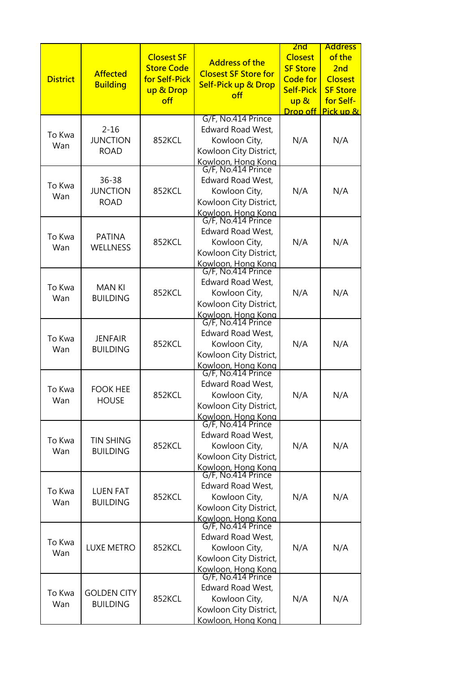| <b>District</b> | <b>Affected</b><br><b>Building</b>          | <b>Closest SF</b><br><b>Store Code</b><br>for Self-Pick<br>up & Drop<br>off | <b>Address of the</b><br><b>Closest SF Store for</b><br><b>Self-Pick up &amp; Drop</b><br>off                                                               | 2 <sub>nd</sub><br><b>Closest</b><br><b>SF Store</b><br><b>Code for</b><br><b>Self-Pick</b><br>up &<br>Drop off | <b>Address</b><br>of the<br>2nd<br><b>Closest</b><br><b>SF Store</b><br>for Self-<br>Pick up & |
|-----------------|---------------------------------------------|-----------------------------------------------------------------------------|-------------------------------------------------------------------------------------------------------------------------------------------------------------|-----------------------------------------------------------------------------------------------------------------|------------------------------------------------------------------------------------------------|
| To Kwa<br>Wan   | $2 - 16$<br><b>JUNCTION</b><br><b>ROAD</b>  | 852KCL                                                                      | G/F, No.414 Prince<br>Edward Road West,<br>Kowloon City,<br>Kowloon City District,<br>Kowloon, Hong Kong<br>G/F, No.414 Prince                              | N/A                                                                                                             | N/A                                                                                            |
| To Kwa<br>Wan   | $36 - 38$<br><b>JUNCTION</b><br><b>ROAD</b> | 852KCL                                                                      | Edward Road West,<br>Kowloon City,<br>Kowloon City District,<br>Kowloon, Hong Kong                                                                          | N/A                                                                                                             | N/A                                                                                            |
| To Kwa<br>Wan   | <b>PATINA</b><br><b>WELLNESS</b>            | 852KCL                                                                      | G/F, No.414 Prince<br>Edward Road West,<br>Kowloon City,<br>Kowloon City District,<br>Kowloon, Hong Kong<br>G/F, No.414 Prince                              | N/A                                                                                                             | N/A                                                                                            |
| To Kwa<br>Wan   | <b>MANKI</b><br><b>BUILDING</b>             | 852KCL                                                                      | Edward Road West,<br>Kowloon City,<br>Kowloon City District,<br>Kowloon, Hong Kong<br>G/F, No.414 Prince                                                    | N/A                                                                                                             | N/A                                                                                            |
| To Kwa<br>Wan   | <b>JENFAIR</b><br><b>BUILDING</b>           | 852KCL                                                                      | Edward Road West,<br>Kowloon City,<br>Kowloon City District,                                                                                                | N/A                                                                                                             | N/A                                                                                            |
| To Kwa<br>Wan   | <b>FOOK HEE</b><br><b>HOUSE</b>             | 852KCL                                                                      | Kowloon, Hong Kong<br>G/F, No.414 Prince<br>Edward Road West,<br>Kowloon City,<br>Kowloon City District,<br><u>Kowloon, Hong Kong</u><br>G/F, No.414 Prince | N/A                                                                                                             | N/A                                                                                            |
| To Kwa<br>Wan   | <b>TIN SHING</b><br><b>BUILDING</b>         | 852KCL                                                                      | Edward Road West,<br>Kowloon City,<br>Kowloon City District,<br>Kowloon, Hong Kong                                                                          | N/A                                                                                                             | N/A                                                                                            |
| To Kwa<br>Wan   | <b>LUEN FAT</b><br><b>BUILDING</b>          | 852KCL                                                                      | G/F, No.414 Prince<br>Edward Road West,<br>Kowloon City,<br>Kowloon City District,<br>Kowloon, Hong Kong<br>G/F, No.414 Prince                              | N/A                                                                                                             | N/A                                                                                            |
| To Kwa<br>Wan   | <b>LUXE METRO</b>                           | 852KCL                                                                      | Edward Road West,<br>Kowloon City,<br>Kowloon City District,<br>Kowloon, Hong Kong<br>G/F, No.414 Prince                                                    | N/A                                                                                                             | N/A                                                                                            |
| To Kwa<br>Wan   | <b>GOLDEN CITY</b><br><b>BUILDING</b>       | 852KCL                                                                      | Edward Road West,<br>Kowloon City,<br>Kowloon City District,<br>Kowloon, Hong Kong                                                                          | N/A                                                                                                             | N/A                                                                                            |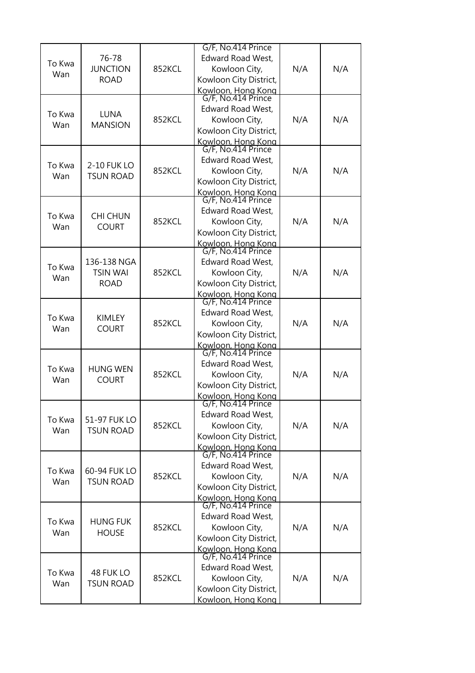| To Kwa<br>Wan | 76-78<br><b>JUNCTION</b><br><b>ROAD</b>       | 852KCL | G/F, No.414 Prince<br>Edward Road West,<br>Kowloon City,<br>Kowloon City District,<br>Kowloon, Hong Kong<br>G/F, No.414 Prince | N/A | N/A |
|---------------|-----------------------------------------------|--------|--------------------------------------------------------------------------------------------------------------------------------|-----|-----|
| To Kwa<br>Wan | <b>LUNA</b><br><b>MANSION</b>                 | 852KCL | Edward Road West,<br>Kowloon City,<br>Kowloon City District,<br>Kowloon, Hong Kong<br>G/F, No.414 Prince                       | N/A | N/A |
| To Kwa<br>Wan | 2-10 FUK LO<br><b>TSUN ROAD</b>               | 852KCL | Edward Road West,<br>Kowloon City,<br>Kowloon City District,<br>Kowloon, Hong Kong                                             | N/A | N/A |
| To Kwa<br>Wan | <b>CHI CHUN</b><br><b>COURT</b>               | 852KCL | G/F, No.414 Prince<br>Edward Road West,<br>Kowloon City,<br>Kowloon City District,<br>Kowloon, Hong Kong<br>G/F, No.414 Prince | N/A | N/A |
| To Kwa<br>Wan | 136-138 NGA<br><b>TSIN WAI</b><br><b>ROAD</b> | 852KCL | Edward Road West,<br>Kowloon City,<br>Kowloon City District,<br>Kowloon, Hong Kong                                             | N/A | N/A |
| To Kwa<br>Wan | KIMLEY<br><b>COURT</b>                        | 852KCL | G/F, No.414 Prince<br>Edward Road West,<br>Kowloon City,<br>Kowloon City District,<br>Kowloon, Hong Kong<br>G/F, No.414 Prince | N/A | N/A |
| To Kwa<br>Wan | <b>HUNG WEN</b><br><b>COURT</b>               | 852KCL | <b>Edward Road West,</b><br>Kowloon City,<br>Kowloon City District,<br>Kowloon, Hong Kong                                      | N/A | N/A |
| To Kwa<br>Wan | 51-97 FUK LO<br><b>TSUN ROAD</b>              | 852KCL | G/F, No.414 Prince<br>Edward Road West,<br>Kowloon City,<br>Kowloon City District,<br>Kowloon, Hong Kong<br>G/F, No.414 Prince | N/A | N/A |
| To Kwa<br>Wan | 60-94 FUK LO<br><b>TSUN ROAD</b>              | 852KCL | Edward Road West,<br>Kowloon City,<br>Kowloon City District,<br>Kowloon, Hong Kong<br>G/F, No.414 Prince                       | N/A | N/A |
| To Kwa<br>Wan | <b>HUNG FUK</b><br><b>HOUSE</b>               | 852KCL | Edward Road West,<br>Kowloon City,<br>Kowloon City District,<br>Kowloon, Hong Kong                                             | N/A | N/A |
| To Kwa<br>Wan | 48 FUK LO<br><b>TSUN ROAD</b>                 | 852KCL | G/F, No.414 Prince<br>Edward Road West,<br>Kowloon City,<br>Kowloon City District,<br>Kowloon, Hong Kong                       | N/A | N/A |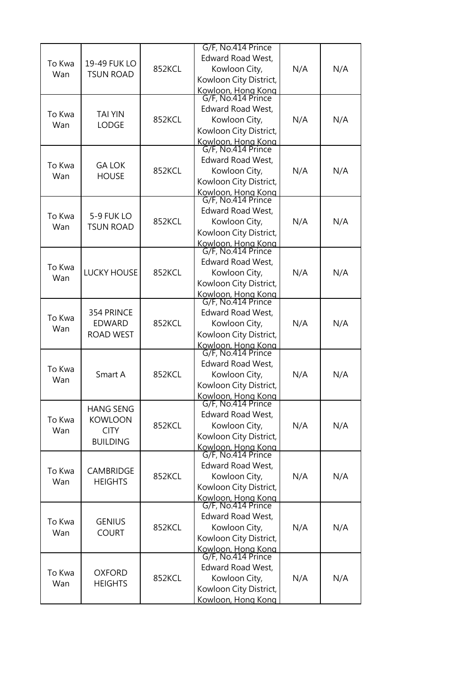|        |                    |        | G/F, No.414 Prince                       |     |     |
|--------|--------------------|--------|------------------------------------------|-----|-----|
| To Kwa | 19-49 FUK LO       |        | <b>Edward Road West,</b>                 |     |     |
| Wan    | <b>TSUN ROAD</b>   | 852KCL | Kowloon City,<br>Kowloon City District,  | N/A | N/A |
|        |                    |        |                                          |     |     |
|        |                    |        | Kowloon, Hong Kong<br>G/F, No.414 Prince |     |     |
|        |                    |        | Edward Road West,                        |     |     |
| To Kwa | <b>TAI YIN</b>     | 852KCL | Kowloon City,                            | N/A | N/A |
| Wan    | <b>LODGE</b>       |        | Kowloon City District,                   |     |     |
|        |                    |        | Kowloon, Hong Kong<br>G/F, No.414 Prince |     |     |
|        |                    |        |                                          |     |     |
| To Kwa | <b>GA LOK</b>      |        | Edward Road West,                        |     |     |
| Wan    | <b>HOUSE</b>       | 852KCL | Kowloon City,                            | N/A | N/A |
|        |                    |        | Kowloon City District,                   |     |     |
|        |                    |        | Kowloon, Hong Kong                       |     |     |
|        |                    |        | G/F, No.414 Prince                       |     |     |
| To Kwa | 5-9 FUK LO         |        | <b>Edward Road West,</b>                 |     |     |
| Wan    | <b>TSUN ROAD</b>   | 852KCL | Kowloon City,                            | N/A | N/A |
|        |                    |        | Kowloon City District,                   |     |     |
|        |                    |        | Kowloon, Hong Kong<br>G/F, No.414 Prince |     |     |
|        |                    |        | <b>Edward Road West,</b>                 |     |     |
| To Kwa | <b>LUCKY HOUSE</b> | 852KCL | Kowloon City,                            | N/A | N/A |
| Wan    |                    |        | Kowloon City District,                   |     |     |
|        |                    |        | Kowloon, Hong Kong                       |     |     |
|        |                    |        | G/F, No.414 Prince                       |     |     |
| To Kwa | 354 PRINCE         |        | Edward Road West,                        |     |     |
| Wan    | <b>EDWARD</b>      | 852KCL | Kowloon City,                            | N/A | N/A |
|        | <b>ROAD WEST</b>   |        | Kowloon City District,                   |     |     |
|        |                    |        | Kowloon, Hong Kong<br>G/F, No.414 Prince |     |     |
|        |                    |        |                                          |     |     |
| To Kwa |                    |        | <b>Edward Road West,</b>                 |     |     |
| Wan    | Smart A            | 852KCL | Kowloon City,                            | N/A | N/A |
|        |                    |        | Kowloon City District,                   |     |     |
|        |                    |        | Kowloon, Hong Kong<br>G/F, No.414 Prince |     |     |
|        | <b>HANG SENG</b>   |        | Edward Road West,                        |     |     |
| To Kwa | <b>KOWLOON</b>     | 852KCL | Kowloon City,                            | N/A | N/A |
| Wan    | <b>CITY</b>        |        | Kowloon City District,                   |     |     |
|        | <b>BUILDING</b>    |        |                                          |     |     |
|        |                    |        | Kowloon, Hong Kong<br>G/F, No.414 Prince |     |     |
| To Kwa | CAMBRIDGE          |        | Edward Road West,                        |     |     |
| Wan    | <b>HEIGHTS</b>     | 852KCL | Kowloon City,                            | N/A | N/A |
|        |                    |        | Kowloon City District,                   |     |     |
|        |                    |        | Kowloon, Hong Kong<br>G/F, No.414 Prince |     |     |
|        |                    |        |                                          |     |     |
| To Kwa | <b>GENIUS</b>      | 852KCL | Edward Road West,<br>Kowloon City,       | N/A | N/A |
| Wan    | <b>COURT</b>       |        | Kowloon City District,                   |     |     |
|        |                    |        |                                          |     |     |
|        |                    |        | Kowloon, Hong Kong<br>G/F, No.414 Prince |     |     |
|        |                    |        | Edward Road West,                        |     |     |
| To Kwa | <b>OXFORD</b>      | 852KCL | Kowloon City,                            | N/A | N/A |
| Wan    | <b>HEIGHTS</b>     |        | Kowloon City District,                   |     |     |
|        |                    |        | Kowloon, Hong Kong                       |     |     |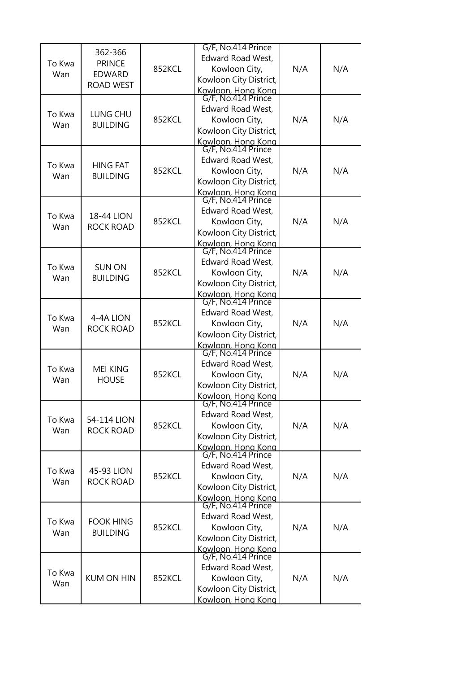|               | 362-366           |        | G/F, No.414 Prince                       |     |     |
|---------------|-------------------|--------|------------------------------------------|-----|-----|
| To Kwa        | <b>PRINCE</b>     |        | Edward Road West,                        |     |     |
| Wan           | <b>EDWARD</b>     | 852KCL | Kowloon City,                            | N/A | N/A |
|               | <b>ROAD WEST</b>  |        | Kowloon City District,                   |     |     |
|               |                   |        | Kowloon, Hong Kong<br>G/F, No.414 Prince |     |     |
|               |                   |        |                                          |     |     |
| To Kwa        | LUNG CHU          |        | Edward Road West,                        |     |     |
| Wan           | <b>BUILDING</b>   | 852KCL | Kowloon City,                            | N/A | N/A |
|               |                   |        | Kowloon City District,                   |     |     |
|               |                   |        | Kowloon, Hong Kong<br>G/F, No.414 Prince |     |     |
|               |                   |        | Edward Road West,                        |     |     |
| To Kwa        | <b>HING FAT</b>   | 852KCL | Kowloon City,                            | N/A | N/A |
| Wan           | <b>BUILDING</b>   |        | Kowloon City District,                   |     |     |
|               |                   |        |                                          |     |     |
|               |                   |        | Kowloon, Hong Kong<br>G/F, No.414 Prince |     |     |
|               |                   |        | Edward Road West,                        |     |     |
| To Kwa        | 18-44 LION        | 852KCL | Kowloon City,                            | N/A | N/A |
| Wan           | <b>ROCK ROAD</b>  |        | Kowloon City District,                   |     |     |
|               |                   |        | Kowloon, Hong Kong                       |     |     |
|               |                   |        | G/F, No.414 Prince                       |     |     |
| To Kwa        | <b>SUN ON</b>     |        | Edward Road West,                        |     |     |
| Wan           | <b>BUILDING</b>   | 852KCL | Kowloon City,                            | N/A | N/A |
|               |                   |        | Kowloon City District,                   |     |     |
|               |                   |        | Kowloon, Hong Kong                       |     |     |
|               |                   |        | G/F, No.414 Prince                       |     |     |
| To Kwa        | 4-4A LION         |        | Edward Road West,                        |     |     |
| Wan           | <b>ROCK ROAD</b>  | 852KCL | Kowloon City,                            | N/A | N/A |
|               |                   |        | Kowloon City District,                   |     |     |
|               |                   |        | Kowloon, Hong Kong<br>G/F, No.414 Prince |     |     |
|               |                   |        | <b>Edward Road West,</b>                 |     |     |
| To Kwa        | <b>MEI KING</b>   | 852KCL | Kowloon City,                            | N/A | N/A |
| Wan           | <b>HOUSE</b>      |        | Kowloon City District,                   |     |     |
|               |                   |        | Kowloon, Hong Kong                       |     |     |
|               |                   |        | G/F, No.414 Prince                       |     |     |
|               |                   |        | Edward Road West,                        |     |     |
| To Kwa<br>Wan | 54-114 LION       | 852KCL | Kowloon City,                            | N/A | N/A |
|               | <b>ROCK ROAD</b>  |        | Kowloon City District,                   |     |     |
|               |                   |        | Kowloon, Hong Kong                       |     |     |
|               |                   |        | G/F, No.414 Prince                       |     |     |
| To Kwa        | 45-93 LION        |        | Edward Road West,                        |     |     |
| Wan           | <b>ROCK ROAD</b>  | 852KCL | Kowloon City,                            | N/A | N/A |
|               |                   |        | Kowloon City District,                   |     |     |
|               |                   |        | Kowloon, Hong Kong<br>G/F, No.414 Prince |     |     |
|               |                   |        | Edward Road West,                        |     |     |
| To Kwa        | <b>FOOK HING</b>  | 852KCL | Kowloon City,                            | N/A | N/A |
| Wan           | <b>BUILDING</b>   |        |                                          |     |     |
|               |                   |        | Kowloon City District,                   |     |     |
|               |                   |        | Kowloon, Hong Kong<br>G/F, No.414 Prince |     |     |
|               |                   |        | Edward Road West,                        |     |     |
| To Kwa        | <b>KUM ON HIN</b> | 852KCL | Kowloon City,                            | N/A | N/A |
| Wan           |                   |        | Kowloon City District,                   |     |     |
|               |                   |        | Kowloon, Hong Kong                       |     |     |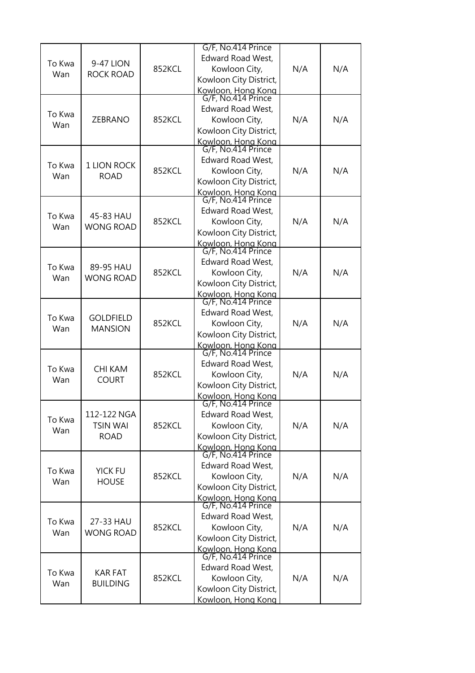|        |                  |        | G/F, No.414 Prince                       |     |     |
|--------|------------------|--------|------------------------------------------|-----|-----|
|        |                  |        | <b>Edward Road West,</b>                 |     |     |
| To Kwa | 9-47 LION        | 852KCL | Kowloon City,                            | N/A | N/A |
| Wan    | <b>ROCK ROAD</b> |        | Kowloon City District,                   |     |     |
|        |                  |        |                                          |     |     |
|        |                  |        | Kowloon, Hong Kong<br>G/F, No.414 Prince |     |     |
|        |                  |        | <b>Edward Road West,</b>                 |     |     |
| To Kwa | ZEBRANO          | 852KCL | Kowloon City,                            | N/A | N/A |
| Wan    |                  |        | Kowloon City District,                   |     |     |
|        |                  |        | Kowloon, Hong Kong                       |     |     |
|        |                  |        | G/F, No.414 Prince                       |     |     |
|        |                  |        | <b>Edward Road West,</b>                 |     |     |
| To Kwa | 1 LION ROCK      | 852KCL | Kowloon City,                            | N/A | N/A |
| Wan    | <b>ROAD</b>      |        | Kowloon City District,                   |     |     |
|        |                  |        |                                          |     |     |
|        |                  |        | Kowloon, Hong Kong<br>G/F, No.414 Prince |     |     |
|        |                  |        | <b>Edward Road West,</b>                 |     |     |
| To Kwa | 45-83 HAU        | 852KCL | Kowloon City,                            | N/A | N/A |
| Wan    | <b>WONG ROAD</b> |        | Kowloon City District,                   |     |     |
|        |                  |        |                                          |     |     |
|        |                  |        | Kowloon, Hong Kong<br>G/F, No.414 Prince |     |     |
|        |                  |        | <b>Edward Road West,</b>                 |     |     |
| To Kwa | 89-95 HAU        | 852KCL | Kowloon City,                            | N/A | N/A |
| Wan    | <b>WONG ROAD</b> |        | Kowloon City District,                   |     |     |
|        |                  |        |                                          |     |     |
|        |                  |        | Kowloon, Hong Kong<br>G/F, No.414 Prince |     |     |
|        |                  |        | <b>Edward Road West,</b>                 |     |     |
| To Kwa | <b>GOLDFIELD</b> | 852KCL | Kowloon City,                            | N/A | N/A |
| Wan    | <b>MANSION</b>   |        | Kowloon City District,                   |     |     |
|        |                  |        |                                          |     |     |
|        |                  |        | Kowloon, Hong Kong<br>G/F, No.414 Prince |     |     |
|        |                  |        | <b>Edward Road West,</b>                 |     |     |
| To Kwa | <b>CHI KAM</b>   | 852KCL | Kowloon City,                            | N/A | N/A |
| Wan    | <b>COURT</b>     |        | Kowloon City District,                   |     |     |
|        |                  |        | Kowloon, Hong Kong                       |     |     |
|        |                  |        | G/F, No.414 Prince                       |     |     |
| To Kwa | 112-122 NGA      |        | <b>Edward Road West,</b>                 |     |     |
|        | <b>TSIN WAI</b>  | 852KCL | Kowloon City,                            | N/A | N/A |
| Wan    | <b>ROAD</b>      |        | Kowloon City District,                   |     |     |
|        |                  |        | Kowloon, Hong Kong<br>G/F, No.414 Prince |     |     |
|        |                  |        |                                          |     |     |
| To Kwa | <b>YICK FU</b>   |        | <b>Edward Road West,</b>                 |     |     |
| Wan    | <b>HOUSE</b>     | 852KCL | Kowloon City,                            | N/A | N/A |
|        |                  |        | Kowloon City District,                   |     |     |
|        |                  |        | Kowloon, Hong Kong<br>G/F, No.414 Prince |     |     |
|        |                  |        |                                          |     |     |
| To Kwa | 27-33 HAU        |        | <b>Edward Road West,</b>                 |     |     |
| Wan    | <b>WONG ROAD</b> | 852KCL | Kowloon City,                            | N/A | N/A |
|        |                  |        | Kowloon City District,                   |     |     |
|        |                  |        | Kowloon, Hong Kong                       |     |     |
|        |                  |        | G/F, No.414 Prince                       |     |     |
| To Kwa | <b>KAR FAT</b>   |        | <b>Edward Road West,</b>                 |     |     |
| Wan    | <b>BUILDING</b>  | 852KCL | Kowloon City,                            | N/A | N/A |
|        |                  |        | Kowloon City District,                   |     |     |
|        |                  |        | Kowloon, Hong Kong                       |     |     |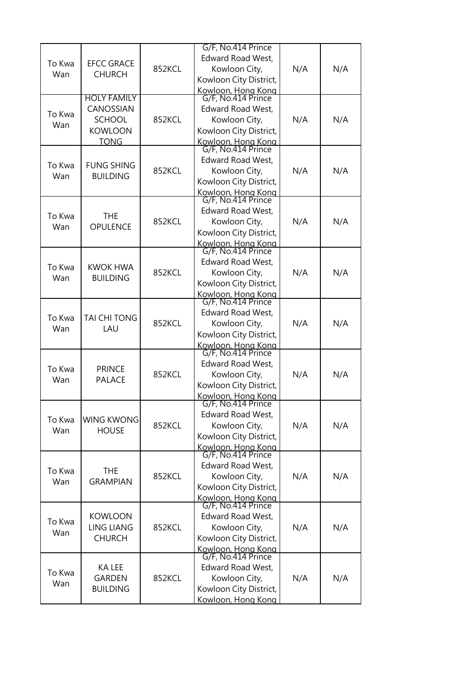| To Kwa<br>Wan | <b>EFCC GRACE</b><br><b>CHURCH</b>                                                | 852KCL | G/F, No.414 Prince<br><b>Edward Road West,</b><br>Kowloon City,<br>Kowloon City District,                                                            | N/A | N/A |
|---------------|-----------------------------------------------------------------------------------|--------|------------------------------------------------------------------------------------------------------------------------------------------------------|-----|-----|
| To Kwa<br>Wan | <b>HOLY FAMILY</b><br>CANOSSIAN<br><b>SCHOOL</b><br><b>KOWLOON</b><br><b>TONG</b> | 852KCL | Kowloon, Hong Kong<br>G/F, No.414 Prince<br>Edward Road West,<br>Kowloon City,<br>Kowloon City District,<br>Kowloon, Hong Kong<br>G/F, No.414 Prince | N/A | N/A |
| To Kwa<br>Wan | <b>FUNG SHING</b><br><b>BUILDING</b>                                              | 852KCL | Edward Road West,<br>Kowloon City,<br>Kowloon City District,<br>Kowloon, Hong Kong                                                                   | N/A | N/A |
| To Kwa<br>Wan | <b>THE</b><br>OPULENCE                                                            | 852KCL | G/F, No.414 Prince<br><b>Edward Road West,</b><br>Kowloon City,<br>Kowloon City District,<br>Kowloon, Hong Kong<br>G/F, No.414 Prince                | N/A | N/A |
| To Kwa<br>Wan | <b>KWOK HWA</b><br><b>BUILDING</b>                                                | 852KCL | <b>Edward Road West,</b><br>Kowloon City,<br>Kowloon City District,<br>Kowloon, Hong Kong                                                            | N/A | N/A |
| To Kwa<br>Wan | TAI CHI TONG<br>LAU                                                               | 852KCL | G/F, No.414 Prince<br>Edward Road West,<br>Kowloon City,<br>Kowloon City District,<br>Kowloon, Hong Kong<br>G/F, No.414 Prince                       | N/A | N/A |
| To Kwa<br>Wan | <b>PRINCE</b><br><b>PALACE</b>                                                    | 852KCL | <b>Edward Road West,</b><br>Kowloon City,<br>Kowloon City District,<br>Kowloon, Hong Kong                                                            | N/A | N/A |
| To Kwa<br>Wan | <b>WING KWONG</b><br><b>HOUSE</b>                                                 | 852KCL | G/F, No.414 Prince<br><b>Edward Road West,</b><br>Kowloon City,<br>Kowloon City District,<br>Kowloon, Hong Kong<br>G/F, No.414 Prince                | N/A | N/A |
| To Kwa<br>Wan | THE<br><b>GRAMPIAN</b>                                                            | 852KCL | Edward Road West,<br>Kowloon City,<br>Kowloon City District,<br>Kowloon, Hong Kong<br>G/F, No.414 Prince                                             | N/A | N/A |
| To Kwa<br>Wan | <b>KOWLOON</b><br><b>LING LIANG</b><br><b>CHURCH</b>                              | 852KCL | Edward Road West,<br>Kowloon City,<br>Kowloon City District,<br>Kowloon, Hong Kong                                                                   | N/A | N/A |
| To Kwa<br>Wan | KA LEE<br><b>GARDEN</b><br><b>BUILDING</b>                                        | 852KCL | G/F, No.414 Prince<br>Edward Road West,<br>Kowloon City,<br>Kowloon City District,<br>Kowloon, Hong Kong                                             | N/A | N/A |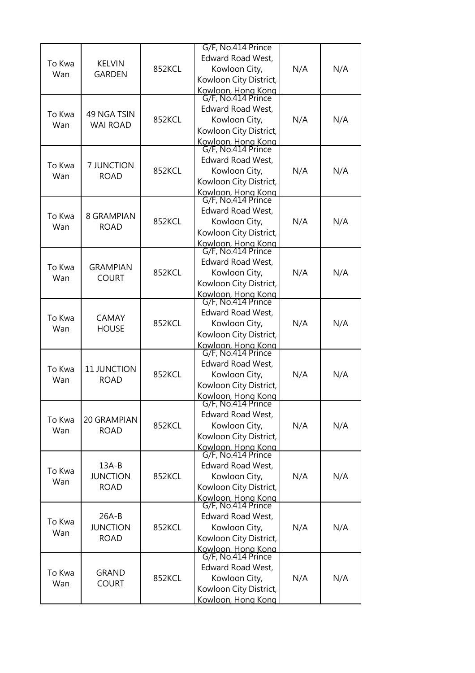| To Kwa<br>Wan | <b>KELVIN</b><br><b>GARDEN</b>            | 852KCL | G/F, No.414 Prince<br><b>Edward Road West,</b><br>Kowloon City,<br>Kowloon City District,                                                            | N/A | N/A |
|---------------|-------------------------------------------|--------|------------------------------------------------------------------------------------------------------------------------------------------------------|-----|-----|
| To Kwa<br>Wan | 49 NGA TSIN<br><b>WAI ROAD</b>            | 852KCL | Kowloon, Hong Kong<br>G/F, No.414 Prince<br>Edward Road West,<br>Kowloon City,<br>Kowloon City District,                                             | N/A | N/A |
| To Kwa<br>Wan | 7 JUNCTION<br><b>ROAD</b>                 | 852KCL | Kowloon, Hong Kong<br>G/F, No.414 Prince<br>Edward Road West,<br>Kowloon City,<br>Kowloon City District,<br>Kowloon, Hong Kong<br>G/F, No.414 Prince | N/A | N/A |
| To Kwa<br>Wan | 8 GRAMPIAN<br><b>ROAD</b>                 | 852KCL | Edward Road West,<br>Kowloon City,<br>Kowloon City District,<br>Kowloon, Hong Kong<br>G/F, No.414 Prince                                             | N/A | N/A |
| To Kwa<br>Wan | <b>GRAMPIAN</b><br><b>COURT</b>           | 852KCL | Edward Road West,<br>Kowloon City,<br>Kowloon City District,<br>Kowloon, Hong Kong                                                                   | N/A | N/A |
| To Kwa<br>Wan | <b>CAMAY</b><br><b>HOUSE</b>              | 852KCL | G/F, No.414 Prince<br>Edward Road West,<br>Kowloon City,<br>Kowloon City District,<br>Kowloon, Hong Kong<br>G/F, No.414 Prince                       | N/A | N/A |
| To Kwa<br>Wan | 11 JUNCTION<br><b>ROAD</b>                | 852KCL | <b>Edward Road West,</b><br>Kowloon City,<br>Kowloon City District,<br>Kowloon, Hong Kong                                                            | N/A | N/A |
| To Kwa<br>Wan | 20 GRAMPIAN<br><b>ROAD</b>                | 852KCL | G/F, No.414 Prince<br><b>Edward Road West,</b><br>Kowloon City,<br>Kowloon City District,<br>Kowloon, Hong Kong                                      | N/A | N/A |
| To Kwa<br>Wan | $13A-B$<br><b>JUNCTION</b><br><b>ROAD</b> | 852KCL | G/F, No.414 Prince<br>Edward Road West,<br>Kowloon City,<br>Kowloon City District,<br>Kowloon, Hong Kong<br>G/F, No.414 Prince                       | N/A | N/A |
| To Kwa<br>Wan | $26A-B$<br><b>JUNCTION</b><br><b>ROAD</b> | 852KCL | Edward Road West,<br>Kowloon City,<br>Kowloon City District,<br>Kowloon, Hong Kong                                                                   | N/A | N/A |
| To Kwa<br>Wan | <b>GRAND</b><br><b>COURT</b>              | 852KCL | G/F, No.414 Prince<br>Edward Road West,<br>Kowloon City,<br>Kowloon City District,<br>Kowloon, Hong Kong                                             | N/A | N/A |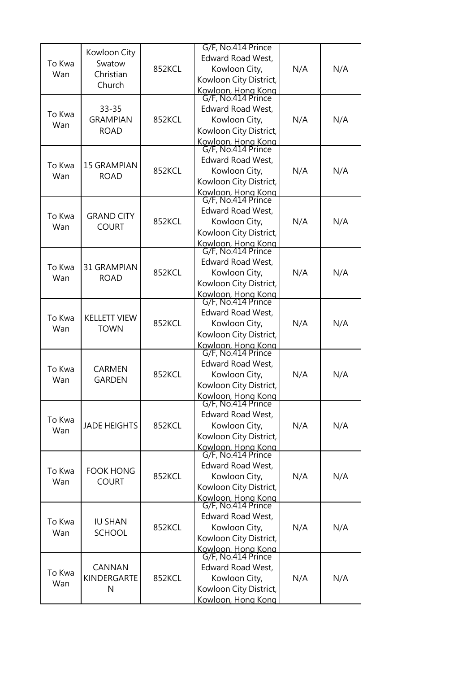|        |                     |        | G/F, No.414 Prince                       |     |     |
|--------|---------------------|--------|------------------------------------------|-----|-----|
|        | Kowloon City        |        | Edward Road West,                        |     |     |
| To Kwa | Swatow              | 852KCL | Kowloon City,                            | N/A | N/A |
| Wan    | Christian           |        | Kowloon City District,                   |     |     |
|        | Church              |        |                                          |     |     |
|        |                     |        | Kowloon, Hong Kong<br>G/F, No.414 Prince |     |     |
|        | $33 - 35$           |        | Edward Road West,                        |     |     |
| To Kwa | <b>GRAMPIAN</b>     | 852KCL | Kowloon City,                            | N/A | N/A |
| Wan    | <b>ROAD</b>         |        | Kowloon City District,                   |     |     |
|        |                     |        |                                          |     |     |
|        |                     |        | Kowloon, Hong Kong<br>G/F, No.414 Prince |     |     |
|        |                     |        | Edward Road West,                        |     |     |
| To Kwa | <b>15 GRAMPIAN</b>  | 852KCL | Kowloon City,                            | N/A | N/A |
| Wan    | <b>ROAD</b>         |        | Kowloon City District,                   |     |     |
|        |                     |        |                                          |     |     |
|        |                     |        | Kowloon, Hong Kong<br>G/F, No.414 Prince |     |     |
| To Kwa | <b>GRAND CITY</b>   |        | Edward Road West,                        |     |     |
| Wan    | <b>COURT</b>        | 852KCL | Kowloon City,                            | N/A | N/A |
|        |                     |        | Kowloon City District,                   |     |     |
|        |                     |        | Kowloon, Hong Kong<br>G/F, No.414 Prince |     |     |
|        |                     |        |                                          |     |     |
| To Kwa | 31 GRAMPIAN         |        | <b>Edward Road West,</b>                 |     |     |
| Wan    | <b>ROAD</b>         | 852KCL | Kowloon City,                            | N/A | N/A |
|        |                     |        | Kowloon City District,                   |     |     |
|        |                     |        | Kowloon, Hong Kong                       |     |     |
|        |                     |        | G/F, No.414 Prince                       |     |     |
| To Kwa | <b>KELLETT VIEW</b> |        | Edward Road West,                        |     |     |
| Wan    | <b>TOWN</b>         | 852KCL | Kowloon City,                            | N/A | N/A |
|        |                     |        | Kowloon City District,                   |     |     |
|        |                     |        | Kowloon, Hong Kong<br>G/F, No.414 Prince |     |     |
|        |                     |        |                                          |     |     |
| To Kwa | <b>CARMEN</b>       |        | Edward Road West,                        |     |     |
| Wan    | <b>GARDEN</b>       | 852KCL | Kowloon City,                            | N/A | N/A |
|        |                     |        | Kowloon City District,                   |     |     |
|        |                     |        | Kowloon, Hong Kong<br>G/F, No.414 Prince |     |     |
|        |                     |        | <b>Edward Road West,</b>                 |     |     |
| To Kwa | <b>JADE HEIGHTS</b> | 852KCL | Kowloon City,                            | N/A |     |
| Wan    |                     |        |                                          |     | N/A |
|        |                     |        | Kowloon City District,                   |     |     |
|        |                     |        | Kowloon, Hong Kong<br>G/F, No.414 Prince |     |     |
|        |                     |        | Edward Road West,                        |     |     |
| To Kwa | <b>FOOK HONG</b>    | 852KCL | Kowloon City,                            | N/A | N/A |
| Wan    | <b>COURT</b>        |        | Kowloon City District,                   |     |     |
|        |                     |        |                                          |     |     |
|        |                     |        | Kowloon, Hong Kong<br>G/F, No.414 Prince |     |     |
|        |                     |        | Edward Road West,                        |     |     |
| To Kwa | <b>IU SHAN</b>      | 852KCL | Kowloon City,                            | N/A | N/A |
| Wan    | <b>SCHOOL</b>       |        | Kowloon City District,                   |     |     |
|        |                     |        |                                          |     |     |
|        |                     |        | Kowloon, Hong Kong<br>G/F, No.414 Prince |     |     |
|        | CANNAN              |        | Edward Road West,                        |     |     |
| To Kwa | KINDERGARTE         | 852KCL | Kowloon City,                            | N/A | N/A |
| Wan    | N                   |        | Kowloon City District,                   |     |     |
|        |                     |        | Kowloon, Hong Kong                       |     |     |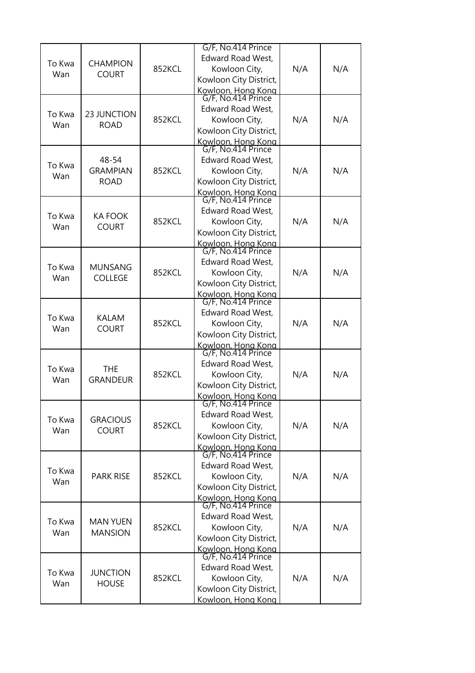|        |                          |        | G/F, No.414 Prince                       |     |     |
|--------|--------------------------|--------|------------------------------------------|-----|-----|
| To Kwa | <b>CHAMPION</b>          |        | <b>Edward Road West,</b>                 |     |     |
| Wan    | <b>COURT</b>             | 852KCL | Kowloon City,                            | N/A | N/A |
|        |                          |        | Kowloon City District,                   |     |     |
|        |                          |        | Kowloon, Hong Kong<br>G/F, No.414 Prince |     |     |
|        |                          |        |                                          |     |     |
| To Kwa | 23 JUNCTION              |        | Edward Road West,                        |     |     |
| Wan    | <b>ROAD</b>              | 852KCL | Kowloon City,                            | N/A | N/A |
|        |                          |        | Kowloon City District,                   |     |     |
|        |                          |        | Kowloon, Hong Kong<br>G/F, No.414 Prince |     |     |
|        |                          |        | Edward Road West,                        |     |     |
| To Kwa | 48-54<br><b>GRAMPIAN</b> |        |                                          |     |     |
| Wan    |                          | 852KCL | Kowloon City,                            | N/A | N/A |
|        | <b>ROAD</b>              |        | Kowloon City District,                   |     |     |
|        |                          |        | Kowloon, Hong Kong<br>G/F, No.414 Prince |     |     |
|        |                          |        | Edward Road West,                        |     |     |
| To Kwa | <b>KA FOOK</b>           | 852KCL | Kowloon City,                            | N/A | N/A |
| Wan    | <b>COURT</b>             |        | Kowloon City District,                   |     |     |
|        |                          |        |                                          |     |     |
|        |                          |        | Kowloon, Hong Kong<br>G/F, No.414 Prince |     |     |
|        |                          |        | Edward Road West,                        |     |     |
| To Kwa | <b>MUNSANG</b>           | 852KCL | Kowloon City,                            | N/A | N/A |
| Wan    | <b>COLLEGE</b>           |        | Kowloon City District,                   |     |     |
|        |                          |        | Kowloon, Hong Kong                       |     |     |
|        |                          |        | G/F, No.414 Prince                       |     |     |
| To Kwa | <b>KALAM</b>             |        | Edward Road West,                        |     |     |
| Wan    | <b>COURT</b>             | 852KCL | Kowloon City,                            | N/A | N/A |
|        |                          |        | Kowloon City District,                   |     |     |
|        |                          |        | Kowloon, Hong Kong<br>G/F, No.414 Prince |     |     |
|        |                          |        |                                          |     |     |
| To Kwa | <b>THE</b>               |        | <b>Edward Road West,</b>                 |     |     |
| Wan    | <b>GRANDEUR</b>          | 852KCL | Kowloon City,                            | N/A | N/A |
|        |                          |        | Kowloon City District,                   |     |     |
|        |                          |        | Kowloon, Hong Kong<br>G/F, No.414 Prince |     |     |
|        |                          |        | Edward Road West,                        |     |     |
| To Kwa | <b>GRACIOUS</b>          | 852KCL | Kowloon City,                            | N/A | N/A |
| Wan    | <b>COURT</b>             |        | Kowloon City District,                   |     |     |
|        |                          |        |                                          |     |     |
|        |                          |        | Kowloon, Hong Kong<br>G/F, No.414 Prince |     |     |
| To Kwa |                          |        | Edward Road West,                        |     |     |
| Wan    | <b>PARK RISE</b>         | 852KCL | Kowloon City,                            | N/A | N/A |
|        |                          |        | Kowloon City District,                   |     |     |
|        |                          |        | Kowloon, Hong Kong<br>G/F, No.414 Prince |     |     |
|        |                          |        |                                          |     |     |
| To Kwa | <b>MAN YUEN</b>          |        | Edward Road West,                        |     |     |
| Wan    | <b>MANSION</b>           | 852KCL | Kowloon City,                            | N/A | N/A |
|        |                          |        | Kowloon City District,                   |     |     |
|        |                          |        | Kowloon, Hong Kong<br>G/F, No.414 Prince |     |     |
|        |                          |        | Edward Road West,                        |     |     |
| To Kwa | <b>JUNCTION</b>          |        |                                          |     | N/A |
| Wan    | <b>HOUSE</b>             | 852KCL | Kowloon City,                            | N/A |     |
|        |                          |        | Kowloon City District,                   |     |     |
|        |                          |        | Kowloon, Hong Kong                       |     |     |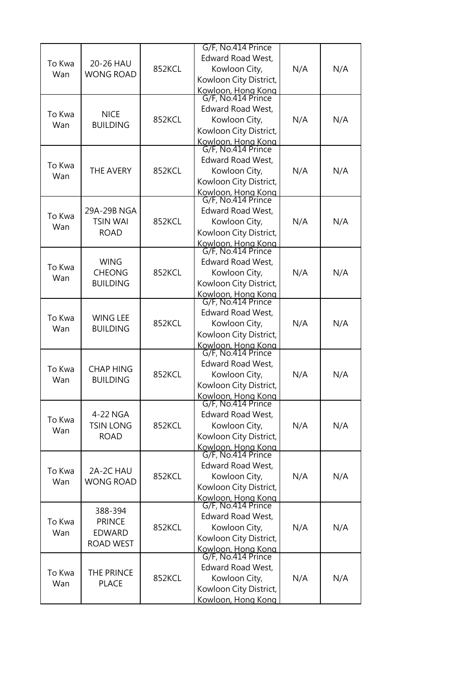|        |                  |        | G/F, No.414 Prince                       |     |     |
|--------|------------------|--------|------------------------------------------|-----|-----|
|        |                  |        | <b>Edward Road West,</b>                 |     |     |
| To Kwa | 20-26 HAU        | 852KCL | Kowloon City,                            | N/A | N/A |
| Wan    | <b>WONG ROAD</b> |        | Kowloon City District,                   |     |     |
|        |                  |        |                                          |     |     |
|        |                  |        | Kowloon, Hong Kong<br>G/F, No.414 Prince |     |     |
|        |                  |        | Edward Road West,                        |     |     |
| To Kwa | <b>NICE</b>      | 852KCL | Kowloon City,                            | N/A | N/A |
| Wan    | <b>BUILDING</b>  |        | Kowloon City District,                   |     |     |
|        |                  |        | Kowloon, Hong Kong                       |     |     |
|        |                  |        | G/F, No.414 Prince                       |     |     |
|        |                  |        | Edward Road West,                        |     |     |
| To Kwa | THE AVERY        | 852KCL | Kowloon City,                            | N/A | N/A |
| Wan    |                  |        | Kowloon City District,                   |     |     |
|        |                  |        |                                          |     |     |
|        |                  |        | Kowloon, Hong Kong<br>G/F, No.414 Prince |     |     |
|        | 29A-29B NGA      |        | <b>Edward Road West,</b>                 |     |     |
| To Kwa | <b>TSIN WAI</b>  | 852KCL | Kowloon City,                            | N/A | N/A |
| Wan    | <b>ROAD</b>      |        | Kowloon City District,                   |     |     |
|        |                  |        |                                          |     |     |
|        |                  |        | Kowloon, Hong Kong<br>G/F, No.414 Prince |     |     |
|        | <b>WING</b>      |        | Edward Road West,                        |     |     |
| To Kwa | <b>CHEONG</b>    | 852KCL | Kowloon City,                            | N/A | N/A |
| Wan    | <b>BUILDING</b>  |        | Kowloon City District,                   |     |     |
|        |                  |        |                                          |     |     |
|        |                  |        | Kowloon, Hong Kong<br>G/F, No.414 Prince |     |     |
|        |                  |        | Edward Road West,                        |     |     |
| To Kwa | <b>WING LEE</b>  | 852KCL | Kowloon City,                            | N/A | N/A |
| Wan    | <b>BUILDING</b>  |        | Kowloon City District,                   |     |     |
|        |                  |        |                                          |     |     |
|        |                  |        | Kowloon, Hong Kong<br>G/F, No.414 Prince |     |     |
|        |                  |        | <b>Edward Road West,</b>                 |     |     |
| To Kwa | <b>CHAP HING</b> | 852KCL | Kowloon City,                            | N/A | N/A |
| Wan    | <b>BUILDING</b>  |        | Kowloon City District,                   |     |     |
|        |                  |        | Kowloon, Hong Kong                       |     |     |
|        |                  |        | G/F, No.414 Prince                       |     |     |
| To Kwa | 4-22 NGA         |        | Edward Road West,                        |     |     |
|        | <b>TSIN LONG</b> | 852KCL | Kowloon City,                            | N/A | N/A |
| Wan    | <b>ROAD</b>      |        | Kowloon City District,                   |     |     |
|        |                  |        | Kowloon, Hong Kong<br>G/F, No.414 Prince |     |     |
|        |                  |        |                                          |     |     |
| To Kwa | 2A-2C HAU        |        | Edward Road West,                        |     |     |
| Wan    | <b>WONG ROAD</b> | 852KCL | Kowloon City,                            | N/A | N/A |
|        |                  |        | Kowloon City District,                   |     |     |
|        |                  |        | Kowloon, Hong Kong<br>G/F, No.414 Prince |     |     |
|        | 388-394          |        |                                          |     |     |
| To Kwa | <b>PRINCE</b>    |        | Edward Road West,                        |     |     |
| Wan    | <b>EDWARD</b>    | 852KCL | Kowloon City,                            | N/A | N/A |
|        |                  |        | Kowloon City District,                   |     |     |
|        | <b>ROAD WEST</b> |        | Kowloon, Hong Kong                       |     |     |
|        |                  |        | G/F, No.414 Prince                       |     |     |
| To Kwa | THE PRINCE       |        | Edward Road West,                        |     |     |
| Wan    | <b>PLACE</b>     | 852KCL | Kowloon City,                            | N/A | N/A |
|        |                  |        | Kowloon City District,                   |     |     |
|        |                  |        | Kowloon, Hong Kong                       |     |     |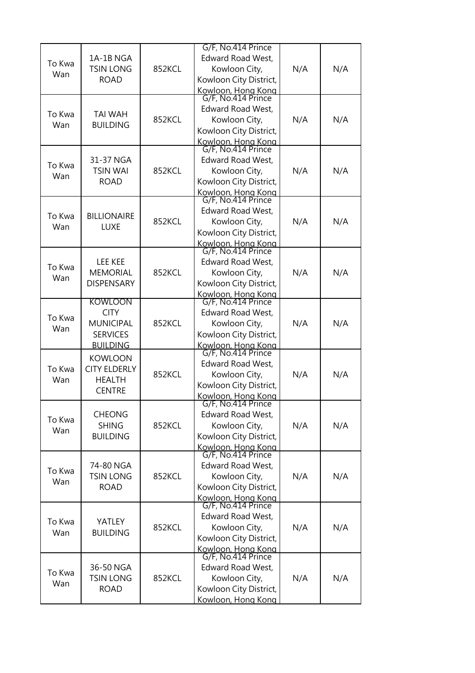| To Kwa<br>Wan | 1A-1B NGA<br><b>TSIN LONG</b><br><b>ROAD</b>                                     | 852KCL | G/F, No.414 Prince<br><b>Edward Road West,</b><br>Kowloon City,<br>Kowloon City District,                                             | N/A | N/A |
|---------------|----------------------------------------------------------------------------------|--------|---------------------------------------------------------------------------------------------------------------------------------------|-----|-----|
| To Kwa<br>Wan | <b>TAI WAH</b><br><b>BUILDING</b>                                                | 852KCL | Kowloon, Hong Kong<br>G/F, No.414 Prince<br>Edward Road West,<br>Kowloon City,<br>Kowloon City District,<br>Kowloon, Hong Kong        | N/A | N/A |
| To Kwa<br>Wan | 31-37 NGA<br><b>TSIN WAI</b><br><b>ROAD</b>                                      | 852KCL | G/F, No.414 Prince<br>Edward Road West,<br>Kowloon City,<br>Kowloon City District,<br>Kowloon, Hong Kong                              | N/A | N/A |
| To Kwa<br>Wan | <b>BILLIONAIRE</b><br><b>LUXE</b>                                                | 852KCL | G/F, No.414 Prince<br><b>Edward Road West,</b><br>Kowloon City,<br>Kowloon City District,<br>Kowloon, Hong Kong<br>G/F, No.414 Prince | N/A | N/A |
| To Kwa<br>Wan | <b>LEE KEE</b><br><b>MEMORIAL</b><br><b>DISPENSARY</b>                           | 852KCL | <b>Edward Road West,</b><br>Kowloon City,<br>Kowloon City District,<br>Kowloon, Hong Kong                                             | N/A | N/A |
| To Kwa<br>Wan | KOWLOON<br><b>CITY</b><br><b>MUNICIPAL</b><br><b>SERVICES</b><br><b>BUILDING</b> | 852KCL | G/F, No.414 Prince<br>Edward Road West,<br>Kowloon City,<br>Kowloon City District,<br>Kowloon, Hong Kong<br>G/F, No.414 Prince        | N/A | N/A |
| To Kwa<br>Wan | <b>KOWLOON</b><br><b>CITY ELDERLY</b><br><b>HEALTH</b><br><b>CENTRE</b>          | 852KCL | <b>Edward Road West,</b><br>Kowloon City,<br>Kowloon City District,<br>Kowloon, Hong Kong                                             | N/A | N/A |
| To Kwa<br>Wan | <b>CHEONG</b><br><b>SHING</b><br><b>BUILDING</b>                                 | 852KCL | G/F, No.414 Prince<br><b>Edward Road West,</b><br>Kowloon City,<br>Kowloon City District,<br>Kowloon, Hong Kong<br>G/F, No.414 Prince | N/A | N/A |
| To Kwa<br>Wan | 74-80 NGA<br><b>TSIN LONG</b><br><b>ROAD</b>                                     | 852KCL | Edward Road West,<br>Kowloon City,<br>Kowloon City District,<br>Kowloon, Hong Kong<br>G/F, No.414 Prince                              | N/A | N/A |
| To Kwa<br>Wan | <b>YATLEY</b><br><b>BUILDING</b>                                                 | 852KCL | Edward Road West,<br>Kowloon City,<br>Kowloon City District,<br>Kowloon, Hong Kong                                                    | N/A | N/A |
| To Kwa<br>Wan | 36-50 NGA<br><b>TSIN LONG</b><br><b>ROAD</b>                                     | 852KCL | G/F, No.414 Prince<br>Edward Road West,<br>Kowloon City,<br>Kowloon City District,<br>Kowloon, Hong Kong                              | N/A | N/A |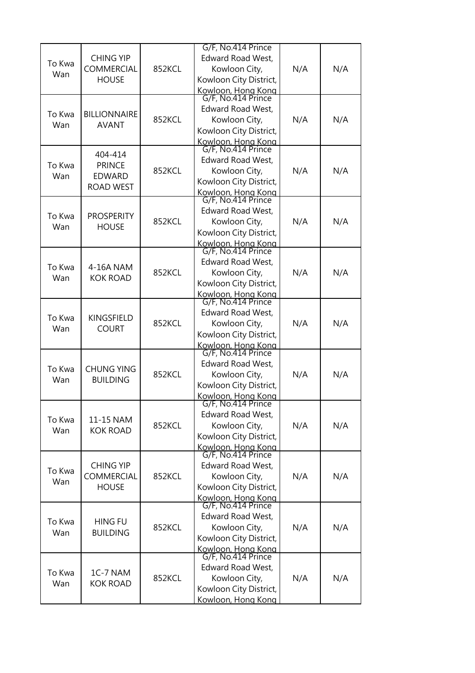| To Kwa<br>Wan | <b>CHING YIP</b><br>COMMERCIAL<br><b>HOUSE</b>                | 852KCL | G/F, No.414 Prince<br><b>Edward Road West,</b><br>Kowloon City,<br>Kowloon City District,                                                            | N/A | N/A |
|---------------|---------------------------------------------------------------|--------|------------------------------------------------------------------------------------------------------------------------------------------------------|-----|-----|
| To Kwa<br>Wan | <b>BILLIONNAIRE</b><br><b>AVANT</b>                           | 852KCL | Kowloon, Hong Kong<br>G/F, No.414 Prince<br>Edward Road West,<br>Kowloon City,<br>Kowloon City District,                                             | N/A | N/A |
| To Kwa<br>Wan | 404-414<br><b>PRINCE</b><br><b>EDWARD</b><br><b>ROAD WEST</b> | 852KCL | Kowloon, Hong Kong<br>G/F, No.414 Prince<br>Edward Road West,<br>Kowloon City,<br>Kowloon City District,<br>Kowloon, Hong Kong<br>G/F, No.414 Prince | N/A | N/A |
| To Kwa<br>Wan | <b>PROSPERITY</b><br><b>HOUSE</b>                             | 852KCL | Edward Road West,<br>Kowloon City,<br>Kowloon City District,<br>Kowloon, Hong Kong<br>G/F, No.414 Prince                                             | N/A | N/A |
| To Kwa<br>Wan | 4-16A NAM<br><b>KOK ROAD</b>                                  | 852KCL | <b>Edward Road West,</b><br>Kowloon City,<br>Kowloon City District,<br>Kowloon, Hong Kong                                                            | N/A | N/A |
| To Kwa<br>Wan | KINGSFIELD<br><b>COURT</b>                                    | 852KCL | G/F, No.414 Prince<br>Edward Road West,<br>Kowloon City,<br>Kowloon City District,<br>Kowloon, Hong Kong<br>G/F, No.414 Prince                       | N/A | N/A |
| To Kwa<br>Wan | <b>CHUNG YING</b><br><b>BUILDING</b>                          | 852KCL | <b>Edward Road West,</b><br>Kowloon City,<br>Kowloon City District,<br>Kowloon, Hong Kong                                                            | N/A | N/A |
| To Kwa<br>Wan | 11-15 NAM<br><b>KOK ROAD</b>                                  | 852KCL | G/F, No.414 Prince<br><b>Edward Road West,</b><br>Kowloon City,<br>Kowloon City District,<br>Kowloon, Hong Kong                                      | N/A | N/A |
| To Kwa<br>Wan | <b>CHING YIP</b><br>COMMERCIAL<br><b>HOUSE</b>                | 852KCL | G/F, No.414 Prince<br>Edward Road West,<br>Kowloon City,<br>Kowloon City District,<br>Kowloon, Hong Kong<br>G/F, No.414 Prince                       | N/A | N/A |
| To Kwa<br>Wan | <b>HING FU</b><br><b>BUILDING</b>                             | 852KCL | Edward Road West,<br>Kowloon City,<br>Kowloon City District,<br>Kowloon, Hong Kong                                                                   | N/A | N/A |
| To Kwa<br>Wan | 1C-7 NAM<br><b>KOK ROAD</b>                                   | 852KCL | G/F, No.414 Prince<br>Edward Road West,<br>Kowloon City,<br>Kowloon City District,<br>Kowloon, Hong Kong                                             | N/A | N/A |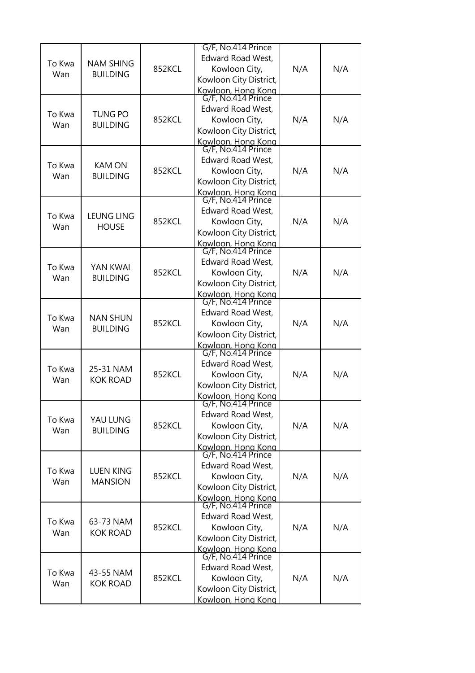| To Kwa<br>Wan | <b>NAM SHING</b><br><b>BUILDING</b> | 852KCL | G/F, No.414 Prince<br><b>Edward Road West,</b><br>Kowloon City,<br>Kowloon City District,                                                            | N/A | N/A |
|---------------|-------------------------------------|--------|------------------------------------------------------------------------------------------------------------------------------------------------------|-----|-----|
| To Kwa<br>Wan | <b>TUNG PO</b><br><b>BUILDING</b>   | 852KCL | Kowloon, Hong Kong<br>G/F, No.414 Prince<br>Edward Road West,<br>Kowloon City,<br>Kowloon City District,                                             | N/A | N/A |
| To Kwa<br>Wan | <b>KAM ON</b><br><b>BUILDING</b>    | 852KCL | Kowloon, Hong Kong<br>G/F, No.414 Prince<br>Edward Road West,<br>Kowloon City,<br>Kowloon City District,<br>Kowloon, Hong Kong<br>G/F, No.414 Prince | N/A | N/A |
| To Kwa<br>Wan | <b>LEUNG LING</b><br><b>HOUSE</b>   | 852KCL | Edward Road West,<br>Kowloon City,<br>Kowloon City District,<br>Kowloon, Hong Kong<br>G/F, No.414 Prince                                             | N/A | N/A |
| To Kwa<br>Wan | YAN KWAI<br><b>BUILDING</b>         | 852KCL | Edward Road West,<br>Kowloon City,<br>Kowloon City District,<br>Kowloon, Hong Kong                                                                   | N/A | N/A |
| To Kwa<br>Wan | <b>NAN SHUN</b><br><b>BUILDING</b>  | 852KCL | G/F, No.414 Prince<br>Edward Road West,<br>Kowloon City,<br>Kowloon City District,<br>Kowloon, Hong Kong<br>G/F, No.414 Prince                       | N/A | N/A |
| To Kwa<br>Wan | 25-31 NAM<br><b>KOK ROAD</b>        | 852KCL | <b>Edward Road West,</b><br>Kowloon City,<br>Kowloon City District,<br>Kowloon, Hong Kong                                                            | N/A | N/A |
| To Kwa<br>Wan | YAU LUNG<br><b>BUILDING</b>         | 852KCL | G/F, No.414 Prince<br>Edward Road West,<br>Kowloon City,<br>Kowloon City District,<br>Kowloon, Hong Kong                                             | N/A | N/A |
| To Kwa<br>Wan | <b>LUEN KING</b><br><b>MANSION</b>  | 852KCL | G/F, No.414 Prince<br>Edward Road West,<br>Kowloon City,<br>Kowloon City District,<br>Kowloon, Hong Kong<br>G/F, No.414 Prince                       | N/A | N/A |
| To Kwa<br>Wan | 63-73 NAM<br>KOK ROAD               | 852KCL | Edward Road West,<br>Kowloon City,<br>Kowloon City District,<br>Kowloon, Hong Kong                                                                   | N/A | N/A |
| To Kwa<br>Wan | 43-55 NAM<br><b>KOK ROAD</b>        | 852KCL | G/F, No.414 Prince<br>Edward Road West,<br>Kowloon City,<br>Kowloon City District,<br>Kowloon, Hong Kong                                             | N/A | N/A |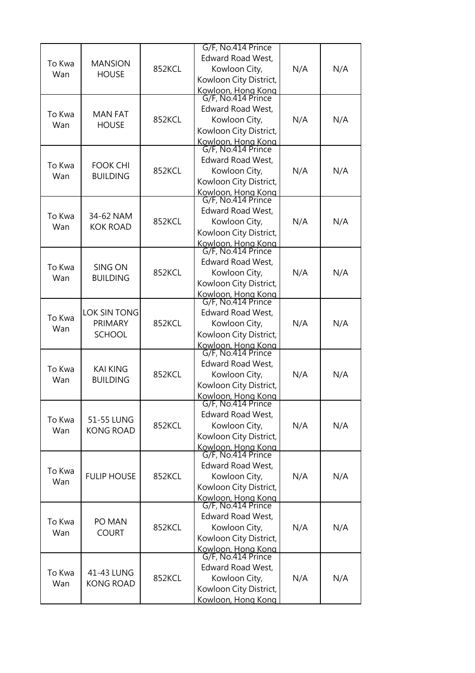|               |                                                 |        | G/F, No.414 Prince                       |     |     |
|---------------|-------------------------------------------------|--------|------------------------------------------|-----|-----|
|               |                                                 |        | <b>Edward Road West,</b>                 |     |     |
| To Kwa        | <b>MANSION</b>                                  | 852KCL | Kowloon City,                            | N/A | N/A |
| Wan           | <b>HOUSE</b>                                    |        | Kowloon City District,                   |     |     |
|               |                                                 |        |                                          |     |     |
|               |                                                 |        | Kowloon, Hong Kong<br>G/F, No.414 Prince |     |     |
|               |                                                 |        | Edward Road West,                        |     |     |
| To Kwa        | <b>MAN FAT</b>                                  | 852KCL | Kowloon City,                            | N/A | N/A |
| Wan           | <b>HOUSE</b>                                    |        | Kowloon City District,                   |     |     |
|               |                                                 |        | Kowloon, Hong Kong                       |     |     |
|               |                                                 |        | G/F, No.414 Prince                       |     |     |
|               |                                                 |        | Edward Road West,                        |     |     |
| To Kwa        | <b>FOOK CHI</b>                                 | 852KCL | Kowloon City,                            | N/A | N/A |
| Wan           | <b>BUILDING</b>                                 |        | Kowloon City District,                   |     |     |
|               |                                                 |        |                                          |     |     |
|               |                                                 |        | Kowloon, Hong Kong<br>G/F, No.414 Prince |     |     |
|               |                                                 |        | Edward Road West,                        |     |     |
| To Kwa        | 34-62 NAM                                       | 852KCL | Kowloon City,                            | N/A | N/A |
| Wan           | <b>KOK ROAD</b>                                 |        | Kowloon City District,                   |     |     |
|               |                                                 |        |                                          |     |     |
|               |                                                 |        | Kowloon, Hong Kong<br>G/F, No.414 Prince |     |     |
|               |                                                 |        | Edward Road West,                        |     |     |
| To Kwa        | SING ON<br><b>BUILDING</b>                      | 852KCL | Kowloon City,                            | N/A | N/A |
| Wan           |                                                 |        | Kowloon City District,                   |     |     |
|               |                                                 |        |                                          |     |     |
|               |                                                 |        | Kowloon, Hong Kong<br>G/F, No.414 Prince |     |     |
|               | <b>LOK SIN TONG</b><br>PRIMARY<br><b>SCHOOL</b> | 852KCL | Edward Road West,                        | N/A |     |
| To Kwa        |                                                 |        | Kowloon City,                            |     | N/A |
| Wan           |                                                 |        | Kowloon City District,                   |     |     |
|               |                                                 |        |                                          |     |     |
|               |                                                 |        | Kowloon, Hong Kong<br>G/F, No.414 Prince |     |     |
|               | <b>KAI KING</b><br><b>BUILDING</b>              |        | <b>Edward Road West,</b>                 | N/A | N/A |
| To Kwa        |                                                 | 852KCL | Kowloon City,                            |     |     |
| Wan           |                                                 |        | Kowloon City District,                   |     |     |
|               |                                                 |        | Kowloon, Hong Kong                       |     |     |
|               |                                                 |        | G/F, No.414 Prince                       |     |     |
|               | 51-55 LUNG<br><b>KONG ROAD</b>                  |        | Edward Road West,                        | N/A |     |
| To Kwa        |                                                 | 852KCL | Kowloon City,                            |     | N/A |
| Wan           |                                                 |        | Kowloon City District,                   |     |     |
|               |                                                 |        |                                          |     |     |
|               |                                                 |        | Kowloon, Hong Kong<br>G/F, No.414 Prince |     |     |
|               |                                                 |        | Edward Road West,                        |     |     |
| To Kwa        | <b>FULIP HOUSE</b>                              | 852KCL | Kowloon City,                            | N/A | N/A |
| Wan           |                                                 |        | Kowloon City District,                   |     |     |
|               |                                                 |        |                                          |     |     |
|               |                                                 |        | Kowloon, Hong Kong<br>G/F, No.414 Prince |     |     |
| To Kwa<br>Wan | PO MAN                                          |        | Edward Road West,                        |     |     |
|               |                                                 | 852KCL | Kowloon City,                            | N/A | N/A |
|               | <b>COURT</b>                                    |        | Kowloon City District,                   |     |     |
|               |                                                 |        | Kowloon, Hong Kong                       |     |     |
|               |                                                 |        | G/F, No.414 Prince                       |     |     |
|               |                                                 | 852KCL | Edward Road West,                        | N/A |     |
| To Kwa        | 41-43 LUNG                                      |        | Kowloon City,                            |     | N/A |
| Wan           | <b>KONG ROAD</b>                                |        | Kowloon City District,                   |     |     |
|               |                                                 |        | Kowloon, Hong Kong                       |     |     |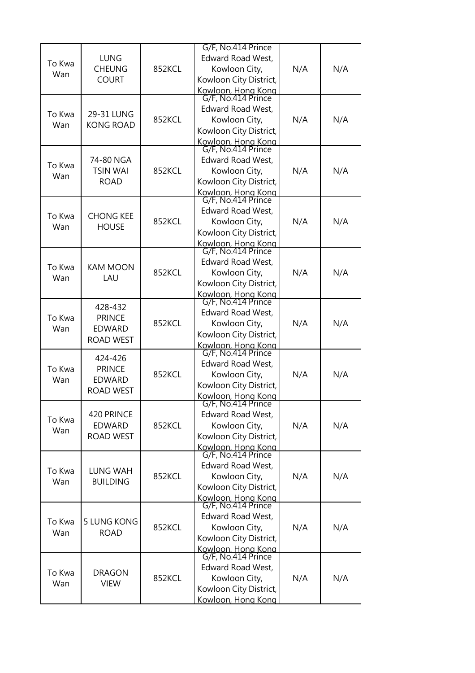| To Kwa<br>Wan | <b>LUNG</b><br><b>CHEUNG</b><br><b>COURT</b>                  | 852KCL | G/F, No.414 Prince<br><b>Edward Road West,</b><br>Kowloon City,<br>Kowloon City District,                                                            | N/A | N/A |
|---------------|---------------------------------------------------------------|--------|------------------------------------------------------------------------------------------------------------------------------------------------------|-----|-----|
| To Kwa<br>Wan | 29-31 LUNG<br><b>KONG ROAD</b>                                | 852KCL | Kowloon, Hong Kong<br>G/F, No.414 Prince<br>Edward Road West,<br>Kowloon City,<br>Kowloon City District,<br>Kowloon, Hong Kong<br>G/F, No.414 Prince | N/A | N/A |
| To Kwa<br>Wan | 74-80 NGA<br><b>TSIN WAI</b><br><b>ROAD</b>                   | 852KCL | Edward Road West,<br>Kowloon City,<br>Kowloon City District,<br>Kowloon, Hong Kong                                                                   | N/A | N/A |
| To Kwa<br>Wan | <b>CHONG KEE</b><br><b>HOUSE</b>                              | 852KCL | G/F, No.414 Prince<br><b>Edward Road West,</b><br>Kowloon City,<br>Kowloon City District,<br>Kowloon, Hong Kong<br>G/F, No.414 Prince                | N/A | N/A |
| To Kwa<br>Wan | <b>KAM MOON</b><br>LAU                                        | 852KCL | <b>Edward Road West,</b><br>Kowloon City,<br>Kowloon City District,<br>Kowloon, Hong Kong                                                            | N/A | N/A |
| To Kwa<br>Wan | 428-432<br><b>PRINCE</b><br><b>EDWARD</b><br><b>ROAD WEST</b> | 852KCL | G/F, No.414 Prince<br>Edward Road West,<br>Kowloon City,<br>Kowloon City District,<br>Kowloon, Hong Kong<br>G/F, No.414 Prince                       | N/A | N/A |
| To Kwa<br>Wan | 424-426<br><b>PRINCE</b><br><b>EDWARD</b><br><b>ROAD WEST</b> | 852KCL | <b>Edward Road West,</b><br>Kowloon City,<br>Kowloon City District,<br>Kowloon, Hong Kong                                                            | N/A | N/A |
| To Kwa<br>Wan | 420 PRINCE<br><b>EDWARD</b><br><b>ROAD WEST</b>               | 852KCL | G/F, No.414 Prince<br>Edward Road West,<br>Kowloon City,<br>Kowloon City District,<br>Kowloon, Hong Kong<br>G/F, No.414 Prince                       | N/A | N/A |
| To Kwa<br>Wan | LUNG WAH<br><b>BUILDING</b>                                   | 852KCL | Edward Road West,<br>Kowloon City,<br>Kowloon City District,<br>Kowloon, Hong Kong<br>G/F, No.414 Prince                                             | N/A | N/A |
| To Kwa<br>Wan | <b>5 LUNG KONG</b><br><b>ROAD</b>                             | 852KCL | Edward Road West,<br>Kowloon City,<br>Kowloon City District,<br>Kowloon, Hong Kong                                                                   | N/A | N/A |
| To Kwa<br>Wan | <b>DRAGON</b><br><b>VIEW</b>                                  | 852KCL | G/F, No.414 Prince<br>Edward Road West,<br>Kowloon City,<br>Kowloon City District,<br>Kowloon, Hong Kong                                             | N/A | N/A |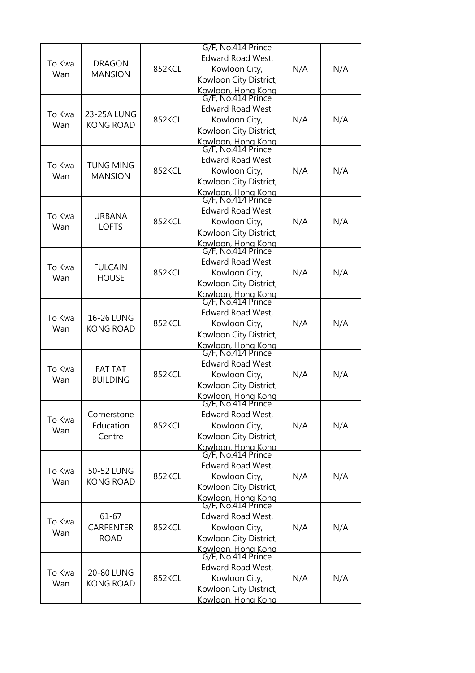| To Kwa<br>Wan | <b>DRAGON</b><br><b>MANSION</b>              | 852KCL | G/F, No.414 Prince<br><b>Edward Road West,</b><br>Kowloon City,<br>Kowloon City District,                                                            | N/A | N/A |
|---------------|----------------------------------------------|--------|------------------------------------------------------------------------------------------------------------------------------------------------------|-----|-----|
| To Kwa<br>Wan | 23-25A LUNG<br><b>KONG ROAD</b>              | 852KCL | Kowloon, Hong Kong<br>G/F, No.414 Prince<br>Edward Road West,<br>Kowloon City,<br>Kowloon City District,<br>Kowloon, Hong Kong<br>G/F, No.414 Prince | N/A | N/A |
| To Kwa<br>Wan | <b>TUNG MING</b><br><b>MANSION</b>           | 852KCL | Edward Road West,<br>Kowloon City,<br>Kowloon City District,<br>Kowloon, Hong Kong                                                                   | N/A | N/A |
| To Kwa<br>Wan | <b>URBANA</b><br><b>LOFTS</b>                | 852KCL | G/F, No.414 Prince<br><b>Edward Road West,</b><br>Kowloon City,<br>Kowloon City District,<br>Kowloon, Hong Kong<br>G/F, No.414 Prince                | N/A | N/A |
| To Kwa<br>Wan | <b>FULCAIN</b><br><b>HOUSE</b>               | 852KCL | <b>Edward Road West,</b><br>Kowloon City,<br>Kowloon City District,<br>Kowloon, Hong Kong                                                            | N/A | N/A |
| To Kwa<br>Wan | 16-26 LUNG<br><b>KONG ROAD</b>               | 852KCL | G/F, No.414 Prince<br>Edward Road West,<br>Kowloon City,<br>Kowloon City District,<br>Kowloon, Hong Kong<br>G/F, No.414 Prince                       | N/A | N/A |
| To Kwa<br>Wan | <b>FAT TAT</b><br><b>BUILDING</b>            | 852KCL | <b>Edward Road West,</b><br>Kowloon City,<br>Kowloon City District,<br>Kowloon, Hong Kong                                                            | N/A | N/A |
| To Kwa<br>Wan | Cornerstone<br>Education<br>Centre           | 852KCL | G/F, No.414 Prince<br><b>Edward Road West,</b><br>Kowloon City,<br>Kowloon City District,<br>Kowloon, Hong Kong<br>G/F, No.414 Prince                | N/A | N/A |
| To Kwa<br>Wan | 50-52 LUNG<br><b>KONG ROAD</b>               | 852KCL | Edward Road West,<br>Kowloon City,<br>Kowloon City District,<br>Kowloon, Hong Kong<br>G/F, No.414 Prince                                             | N/A | N/A |
| To Kwa<br>Wan | $61 - 67$<br><b>CARPENTER</b><br><b>ROAD</b> | 852KCL | Edward Road West,<br>Kowloon City,<br>Kowloon City District,<br>Kowloon, Hong Kong                                                                   | N/A | N/A |
| To Kwa<br>Wan | 20-80 LUNG<br><b>KONG ROAD</b>               | 852KCL | G/F, No.414 Prince<br>Edward Road West,<br>Kowloon City,<br>Kowloon City District,<br>Kowloon, Hong Kong                                             | N/A | N/A |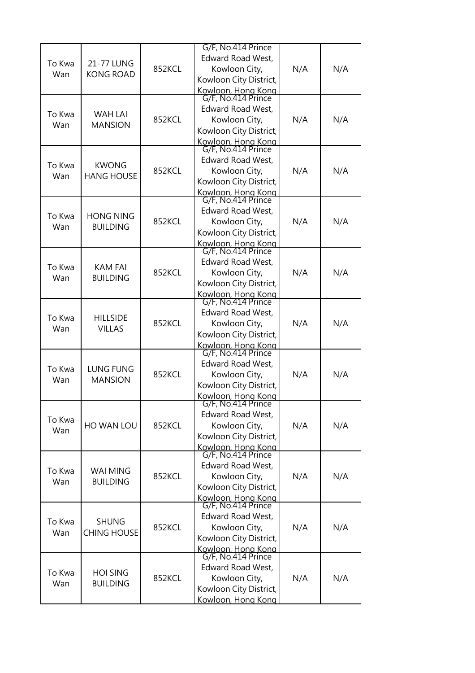|               |                                    |        | G/F, No.414 Prince                       |     |     |
|---------------|------------------------------------|--------|------------------------------------------|-----|-----|
| To Kwa        | 21-77 LUNG                         |        | Edward Road West,                        |     |     |
|               |                                    | 852KCL | Kowloon City,                            | N/A | N/A |
| Wan           | <b>KONG ROAD</b>                   |        | Kowloon City District,                   |     |     |
|               |                                    |        |                                          |     |     |
|               |                                    |        | Kowloon, Hong Kong<br>G/F, No.414 Prince |     |     |
|               |                                    |        | Edward Road West,                        |     |     |
| To Kwa        | <b>WAH LAI</b>                     | 852KCL | Kowloon City,                            | N/A | N/A |
| Wan           | <b>MANSION</b>                     |        | Kowloon City District,                   |     |     |
|               |                                    |        | Kowloon, Hong Kong                       |     |     |
|               |                                    |        | G/F, No.414 Prince                       |     |     |
| To Kwa        | <b>KWONG</b>                       |        | Edward Road West,                        |     |     |
| Wan           | <b>HANG HOUSE</b>                  | 852KCL | Kowloon City,                            | N/A | N/A |
|               |                                    |        | Kowloon City District,                   |     |     |
|               |                                    |        | Kowloon, Hong Kong<br>G/F, No.414 Prince |     |     |
|               |                                    |        |                                          |     |     |
| To Kwa        | <b>HONG NING</b>                   |        | Edward Road West,                        |     |     |
| Wan           | <b>BUILDING</b>                    | 852KCL | Kowloon City,                            | N/A | N/A |
|               |                                    |        | Kowloon City District,                   |     |     |
|               |                                    |        | Kowloon, Hong Kong<br>G/F, No.414 Prince |     |     |
|               |                                    |        |                                          |     |     |
| To Kwa        | <b>KAM FAI</b>                     | 852KCL | <b>Edward Road West,</b>                 | N/A |     |
| Wan           | <b>BUILDING</b>                    |        | Kowloon City,                            |     | N/A |
|               |                                    |        | Kowloon City District,                   |     |     |
|               |                                    |        | Kowloon, Hong Kong<br>G/F, No.414 Prince |     |     |
|               |                                    |        |                                          |     |     |
| To Kwa        | <b>HILLSIDE</b><br><b>VILLAS</b>   | 852KCL | Edward Road West,                        | N/A | N/A |
| Wan           |                                    |        | Kowloon City,                            |     |     |
|               |                                    |        | Kowloon City District,                   |     |     |
|               |                                    |        | Kowloon, Hong Kong<br>G/F, No.414 Prince |     |     |
|               |                                    | 852KCL | <b>Edward Road West,</b>                 | N/A | N/A |
| To Kwa        | <b>LUNG FUNG</b><br><b>MANSION</b> |        | Kowloon City,                            |     |     |
| Wan           |                                    |        | Kowloon City District,                   |     |     |
|               |                                    |        | Kowloon, Hong Kong                       |     |     |
|               |                                    |        | G/F, No.414 Prince                       |     |     |
|               | HO WAN LOU                         |        | Edward Road West,                        | N/A | N/A |
| To Kwa        |                                    | 852KCL | Kowloon City,                            |     |     |
| Wan           |                                    |        | Kowloon City District,                   |     |     |
|               |                                    |        |                                          |     |     |
|               | <b>WAI MING</b>                    |        | Kowloon, Hong Kong<br>G/F, No.414 Prince |     |     |
| To Kwa        |                                    |        | Edward Road West,                        |     |     |
| Wan           | <b>BUILDING</b>                    | 852KCL | Kowloon City,                            | N/A | N/A |
|               |                                    |        | Kowloon City District,                   |     |     |
|               |                                    |        | Kowloon, Hong Kong<br>G/F, No.414 Prince |     |     |
|               |                                    |        |                                          |     |     |
| To Kwa<br>Wan | <b>SHUNG</b>                       |        | Edward Road West,                        |     |     |
|               | <b>CHING HOUSE</b>                 | 852KCL | Kowloon City,                            | N/A | N/A |
|               |                                    |        | Kowloon City District,                   |     |     |
|               |                                    |        | Kowloon, Hong Kong                       |     |     |
|               |                                    |        | G/F, No.414 Prince                       |     |     |
| To Kwa        | <b>HOI SING</b>                    | 852KCL | Edward Road West,                        | N/A | N/A |
| Wan           | <b>BUILDING</b>                    |        | Kowloon City,                            |     |     |
|               |                                    |        | Kowloon City District,                   |     |     |
|               |                                    |        | Kowloon, Hong Kong                       |     |     |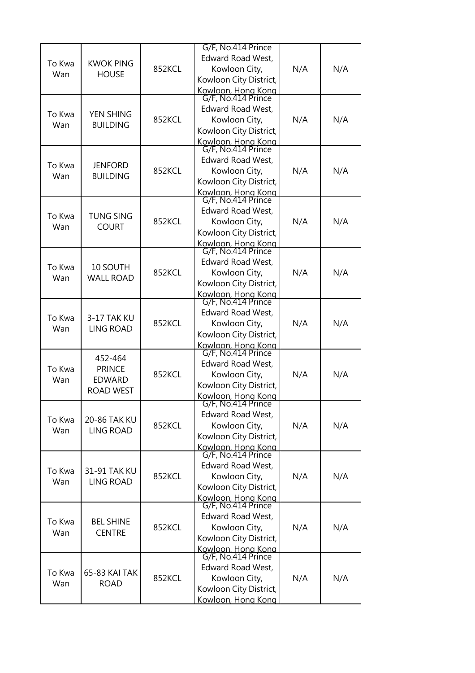| To Kwa<br>Wan | <b>KWOK PING</b><br><b>HOUSE</b>                              | 852KCL | G/F, No.414 Prince<br><b>Edward Road West,</b><br>Kowloon City,<br>Kowloon City District,                                                            | N/A | N/A |
|---------------|---------------------------------------------------------------|--------|------------------------------------------------------------------------------------------------------------------------------------------------------|-----|-----|
| To Kwa<br>Wan | YEN SHING<br><b>BUILDING</b>                                  | 852KCL | Kowloon, Hong Kong<br>G/F, No.414 Prince<br>Edward Road West,<br>Kowloon City,<br>Kowloon City District,<br>Kowloon, Hong Kong<br>G/F, No.414 Prince | N/A | N/A |
| To Kwa<br>Wan | <b>JENFORD</b><br><b>BUILDING</b>                             | 852KCL | Edward Road West,<br>Kowloon City,<br>Kowloon City District,<br>Kowloon, Hong Kong                                                                   | N/A | N/A |
| To Kwa<br>Wan | <b>TUNG SING</b><br><b>COURT</b>                              | 852KCL | G/F, No.414 Prince<br><b>Edward Road West,</b><br>Kowloon City,<br>Kowloon City District,<br>Kowloon, Hong Kong<br>G/F, No.414 Prince                | N/A | N/A |
| To Kwa<br>Wan | 10 SOUTH<br><b>WALL ROAD</b>                                  | 852KCL | <b>Edward Road West,</b><br>Kowloon City,<br>Kowloon City District,<br>Kowloon, Hong Kong                                                            | N/A | N/A |
| To Kwa<br>Wan | 3-17 TAK KU<br><b>LING ROAD</b>                               | 852KCL | G/F, No.414 Prince<br>Edward Road West,<br>Kowloon City,<br>Kowloon City District,<br>Kowloon, Hong Kong<br>G/F, No.414 Prince                       | N/A | N/A |
| To Kwa<br>Wan | 452-464<br><b>PRINCE</b><br><b>EDWARD</b><br><b>ROAD WEST</b> | 852KCL | <b>Edward Road West,</b><br>Kowloon City,<br>Kowloon City District,<br>Kowloon, Hong Kong                                                            | N/A | N/A |
| To Kwa<br>Wan | 20-86 TAK KU<br><b>LING ROAD</b>                              | 852KCL | G/F, No.414 Prince<br><b>Edward Road West,</b><br>Kowloon City,<br>Kowloon City District,<br>Kowloon, Hong Kong<br>G/F, No.414 Prince                | N/A | N/A |
| To Kwa<br>Wan | 31-91 TAK KU<br><b>LING ROAD</b>                              | 852KCL | Edward Road West,<br>Kowloon City,<br>Kowloon City District,<br>Kowloon, Hong Kong<br>G/F, No.414 Prince                                             | N/A | N/A |
| To Kwa<br>Wan | <b>BEL SHINE</b><br><b>CENTRE</b>                             | 852KCL | Edward Road West,<br>Kowloon City,<br>Kowloon City District,<br>Kowloon, Hong Kong                                                                   | N/A | N/A |
| To Kwa<br>Wan | 65-83 KAI TAK<br><b>ROAD</b>                                  | 852KCL | G/F, No.414 Prince<br>Edward Road West,<br>Kowloon City,<br>Kowloon City District,<br>Kowloon, Hong Kong                                             | N/A | N/A |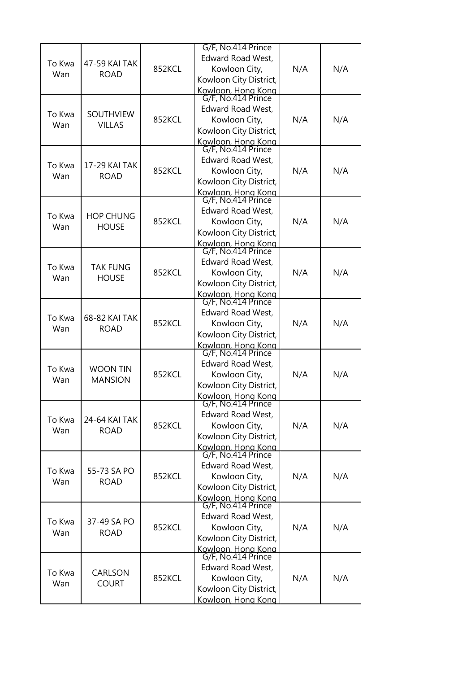|               |                                 |        | G/F, No.414 Prince                       |     |     |
|---------------|---------------------------------|--------|------------------------------------------|-----|-----|
| To Kwa<br>Wan |                                 |        | <b>Edward Road West,</b>                 |     |     |
|               | 47-59 KAI TAK                   | 852KCL | Kowloon City,                            | N/A | N/A |
|               | <b>ROAD</b>                     |        | Kowloon City District,                   |     |     |
|               |                                 |        |                                          |     |     |
|               |                                 |        | Kowloon, Hong Kong<br>G/F, No.414 Prince |     |     |
|               |                                 |        | <b>Edward Road West,</b>                 |     |     |
| To Kwa        | SOUTHVIEW                       | 852KCL | Kowloon City,                            | N/A | N/A |
| Wan           | <b>VILLAS</b>                   |        | Kowloon City District,                   |     |     |
|               |                                 |        | Kowloon, Hong Kong                       |     |     |
|               |                                 |        | G/F, No.414 Prince                       |     |     |
|               |                                 |        | <b>Edward Road West,</b>                 | N/A |     |
| To Kwa        | 17-29 KAI TAK                   | 852KCL | Kowloon City,                            |     | N/A |
| Wan           | <b>ROAD</b>                     |        | Kowloon City District,                   |     |     |
|               |                                 |        |                                          |     |     |
|               |                                 |        | Kowloon, Hong Kong<br>G/F, No.414 Prince |     |     |
|               |                                 |        | <b>Edward Road West,</b>                 |     |     |
| To Kwa        | <b>HOP CHUNG</b>                | 852KCL | Kowloon City,                            | N/A | N/A |
| Wan           | <b>HOUSE</b>                    |        | Kowloon City District,                   |     |     |
|               |                                 |        |                                          |     |     |
|               |                                 |        | Kowloon, Hong Kong<br>G/F, No.414 Prince |     |     |
|               |                                 |        | <b>Edward Road West,</b>                 |     |     |
| To Kwa        | <b>TAK FUNG</b><br><b>HOUSE</b> | 852KCL | Kowloon City,                            | N/A | N/A |
| Wan           |                                 |        | Kowloon City District,                   |     |     |
|               |                                 |        |                                          |     |     |
|               |                                 |        | Kowloon, Hong Kong<br>G/F, No.414 Prince |     |     |
|               | 68-82 KAI TAK<br><b>ROAD</b>    | 852KCL | <b>Edward Road West,</b>                 | N/A |     |
| To Kwa        |                                 |        | Kowloon City,                            |     | N/A |
| Wan           |                                 |        | Kowloon City District,                   |     |     |
|               |                                 |        |                                          |     |     |
|               |                                 |        | Kowloon, Hong Kong<br>G/F, No.414 Prince |     |     |
|               |                                 | 852KCL | <b>Edward Road West,</b>                 | N/A | N/A |
| To Kwa        | <b>WOON TIN</b>                 |        | Kowloon City,                            |     |     |
| Wan           | <b>MANSION</b>                  |        | Kowloon City District,                   |     |     |
|               |                                 |        | Kowloon, Hong Kong                       |     |     |
|               |                                 |        | G/F, No.414 Prince                       |     |     |
|               | 24-64 KAI TAK<br><b>ROAD</b>    |        | <b>Edward Road West,</b>                 |     | N/A |
| To Kwa        |                                 | 852KCL | Kowloon City,                            | N/A |     |
| Wan           |                                 |        | Kowloon City District,                   |     |     |
|               |                                 |        |                                          |     |     |
|               |                                 |        | Kowloon, Hong Kong<br>G/F, No.414 Prince |     |     |
|               |                                 |        | <b>Edward Road West,</b>                 |     |     |
| To Kwa        | 55-73 SA PO                     | 852KCL | Kowloon City,                            | N/A | N/A |
| Wan           | <b>ROAD</b>                     |        | Kowloon City District,                   |     |     |
|               |                                 |        |                                          |     |     |
|               |                                 |        | Kowloon, Hong Kong<br>G/F, No.414 Prince |     |     |
| To Kwa<br>Wan |                                 |        | <b>Edward Road West,</b>                 |     |     |
|               | 37-49 SA PO                     | 852KCL | Kowloon City,                            | N/A | N/A |
|               | <b>ROAD</b>                     |        | Kowloon City District,                   |     |     |
|               |                                 |        | Kowloon, Hong Kong                       |     |     |
|               |                                 |        | G/F, No.414 Prince                       |     |     |
| To Kwa<br>Wan |                                 | 852KCL | <b>Edward Road West,</b>                 | N/A |     |
|               | CARLSON                         |        | Kowloon City,                            |     | N/A |
|               | <b>COURT</b>                    |        | Kowloon City District,                   |     |     |
|               |                                 |        | Kowloon, Hong Kong                       |     |     |
|               |                                 |        |                                          |     |     |